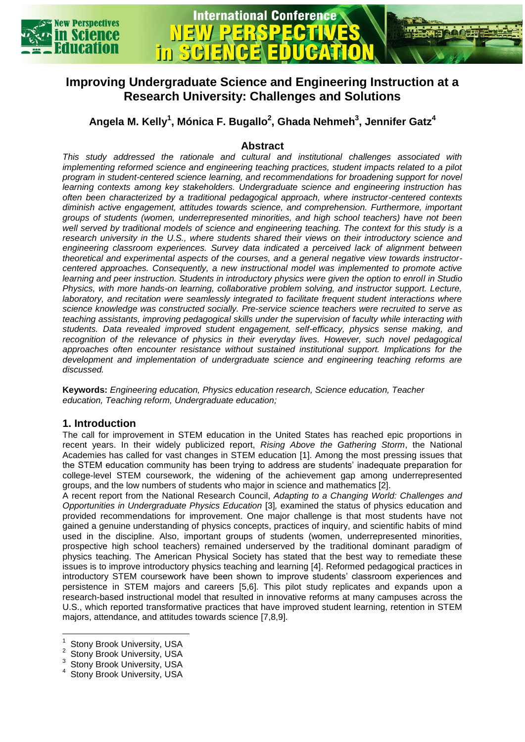

**International Conference** 

in SGI

# **Angela M. Kelly<sup>1</sup> , Mónica F. Bugallo<sup>2</sup> , Ghada Nehmeh<sup>3</sup> , Jennifer Gatz<sup>4</sup>**

## **Abstract**

*This study addressed the rationale and cultural and institutional challenges associated with implementing reformed science and engineering teaching practices, student impacts related to a pilot program in student-centered science learning, and recommendations for broadening support for novel learning contexts among key stakeholders. Undergraduate science and engineering instruction has often been characterized by a traditional pedagogical approach, where instructor-centered contexts diminish active engagement, attitudes towards science, and comprehension. Furthermore, important groups of students (women, underrepresented minorities, and high school teachers) have not been well served by traditional models of science and engineering teaching. The context for this study is a research university in the U.S., where students shared their views on their introductory science and engineering classroom experiences. Survey data indicated a perceived lack of alignment between theoretical and experimental aspects of the courses, and a general negative view towards instructorcentered approaches. Consequently, a new instructional model was implemented to promote active learning and peer instruction. Students in introductory physics were given the option to enroll in Studio Physics, with more hands-on learning, collaborative problem solving, and instructor support. Lecture, laboratory, and recitation were seamlessly integrated to facilitate frequent student interactions where science knowledge was constructed socially. Pre-service science teachers were recruited to serve as teaching assistants, improving pedagogical skills under the supervision of faculty while interacting with students. Data revealed improved student engagement, self-efficacy, physics sense making, and*  recognition of the relevance of physics in their everyday lives. However, such novel pedagogical *approaches often encounter resistance without sustained institutional support. Implications for the development and implementation of undergraduate science and engineering teaching reforms are discussed.* 

**Keywords:** *Engineering education, Physics education research, Science education, Teacher education, Teaching reform, Undergraduate education;*

### **1. Introduction**

The call for improvement in STEM education in the United States has reached epic proportions in recent years. In their widely publicized report, *Rising Above the Gathering Storm*, the National Academies has called for vast changes in STEM education [1]. Among the most pressing issues that the STEM education community has been trying to address are students' inadequate preparation for college-level STEM coursework, the widening of the achievement gap among underrepresented groups, and the low numbers of students who major in science and mathematics [2].

A recent report from the National Research Council, *Adapting to a Changing World: Challenges and Opportunities in Undergraduate Physics Education* [3]*,* examined the status of physics education and provided recommendations for improvement. One major challenge is that most students have not gained a genuine understanding of physics concepts, practices of inquiry, and scientific habits of mind used in the discipline. Also, important groups of students (women, underrepresented minorities, prospective high school teachers) remained underserved by the traditional dominant paradigm of physics teaching. The American Physical Society has stated that the best way to remediate these issues is to improve introductory physics teaching and learning [4]. Reformed pedagogical practices in introductory STEM coursework have been shown to improve students' classroom experiences and persistence in STEM majors and careers [5,6]. This pilot study replicates and expands upon a research-based instructional model that resulted in innovative reforms at many campuses across the U.S., which reported transformative practices that have improved student learning, retention in STEM majors, attendance, and attitudes towards science [7,8,9].

 $\overline{a}$ 

<sup>1</sup> Stony Brook University, USA

<sup>2</sup> Stony Brook University, USA

<sup>3</sup> Stony Brook University, USA

<sup>4</sup> Stony Brook University, USA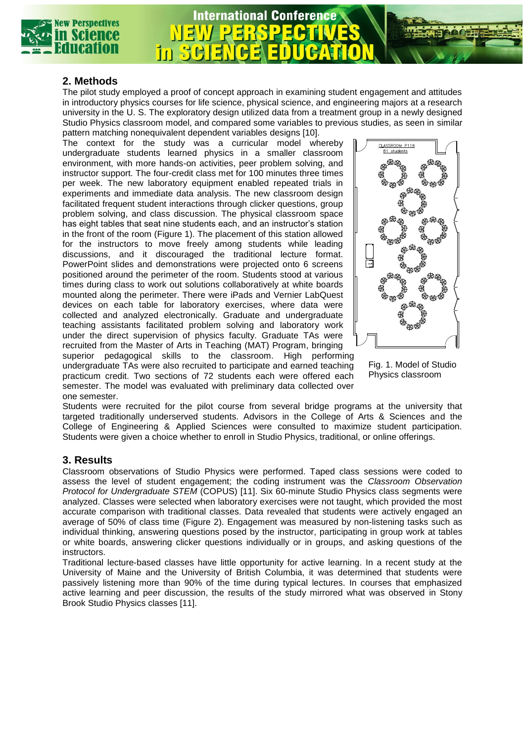

## **2. Methods**

The pilot study employed a proof of concept approach in examining student engagement and attitudes in introductory physics courses for life science, physical science, and engineering majors at a research university in the U. S. The exploratory design utilized data from a treatment group in a newly designed Studio Physics classroom model, and compared some variables to previous studies, as seen in similar pattern matching nonequivalent dependent variables designs [10].

**International Conference** 

The context for the study was a curricular model whereby undergraduate students learned physics in a smaller classroom environment, with more hands-on activities, peer problem solving, and instructor support. The four-credit class met for 100 minutes three times per week. The new laboratory equipment enabled repeated trials in experiments and immediate data analysis. The new classroom design facilitated frequent student interactions through clicker questions, group problem solving, and class discussion. The physical classroom space has eight tables that seat nine students each, and an instructor's station in the front of the room (Figure 1). The placement of this station allowed for the instructors to move freely among students while leading discussions, and it discouraged the traditional lecture format. PowerPoint slides and demonstrations were projected onto 6 screens positioned around the perimeter of the room. Students stood at various times during class to work out solutions collaboratively at white boards mounted along the perimeter. There were iPads and Vernier LabQuest devices on each table for laboratory exercises, where data were collected and analyzed electronically. Graduate and undergraduate teaching assistants facilitated problem solving and laboratory work under the direct supervision of physics faculty. Graduate TAs were recruited from the Master of Arts in Teaching (MAT) Program, bringing

**In SG** 



superior pedagogical skills to the classroom. High performing undergraduate TAs were also recruited to participate and earned teaching practicum credit. Two sections of 72 students each were offered each semester. The model was evaluated with preliminary data collected over one semester.

Fig. 1. Model of Studio Physics classroom

Students were recruited for the pilot course from several bridge programs at the university that targeted traditionally underserved students. Advisors in the College of Arts & Sciences and the College of Engineering & Applied Sciences were consulted to maximize student participation. Students were given a choice whether to enroll in Studio Physics, traditional, or online offerings.

### **3. Results**

Classroom observations of Studio Physics were performed. Taped class sessions were coded to assess the level of student engagement; the coding instrument was the *Classroom Observation Protocol for Undergraduate STEM* (COPUS) [11]. Six 60-minute Studio Physics class segments were analyzed. Classes were selected when laboratory exercises were not taught, which provided the most accurate comparison with traditional classes. Data revealed that students were actively engaged an average of 50% of class time (Figure 2). Engagement was measured by non-listening tasks such as individual thinking, answering questions posed by the instructor, participating in group work at tables or white boards, answering clicker questions individually or in groups, and asking questions of the instructors.

Traditional lecture-based classes have little opportunity for active learning. In a recent study at the University of Maine and the University of British Columbia, it was determined that students were passively listening more than 90% of the time during typical lectures. In courses that emphasized active learning and peer discussion, the results of the study mirrored what was observed in Stony Brook Studio Physics classes [11].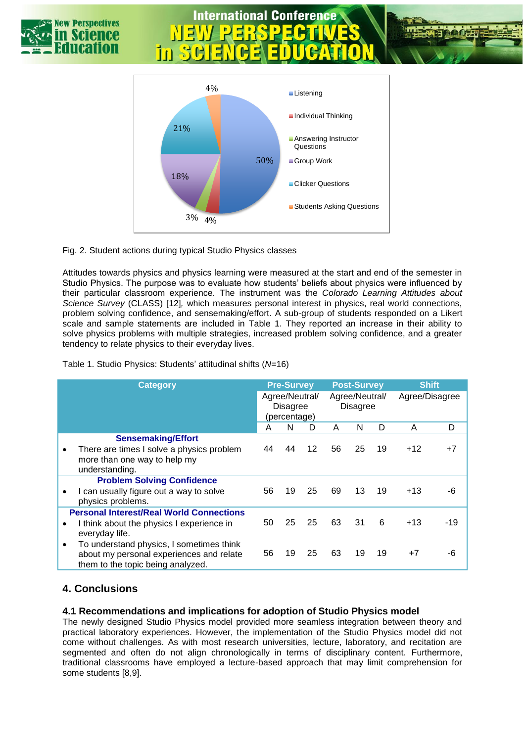# **International Conference** ŤΩ



Fig. 2. Student actions during typical Studio Physics classes

Attitudes towards physics and physics learning were measured at the start and end of the semester in Studio Physics. The purpose was to evaluate how students' beliefs about physics were influenced by their particular classroom experience. The instrument was the *Colorado Learning Attitudes about Science Survey* (CLASS) [12]*,* which measures personal interest in physics, real world connections, problem solving confidence, and sensemaking/effort. A sub-group of students responded on a Likert scale and sample statements are included in Table 1. They reported an increase in their ability to solve physics problems with multiple strategies, increased problem solving confidence, and a greater tendency to relate physics to their everyday lives.

|   | <b>Category</b>                                                                                                           |                                                   | <b>Pre-Survey</b> |                                   | <b>Post-Survey</b> |    |                | Shift |     |
|---|---------------------------------------------------------------------------------------------------------------------------|---------------------------------------------------|-------------------|-----------------------------------|--------------------|----|----------------|-------|-----|
|   |                                                                                                                           | Agree/Neutral/<br><b>Disagree</b><br>(percentage) |                   | Agree/Neutral/<br><b>Disagree</b> |                    |    | Agree/Disagree |       |     |
|   |                                                                                                                           | A                                                 | N                 | D                                 | A                  | N  | D              | A     | D   |
| ٠ | <b>Sensemaking/Effort</b><br>There are times I solve a physics problem<br>more than one way to help my<br>understanding.  | 44                                                | 44                | 12                                | 56                 | 25 | 19             | $+12$ | +7  |
|   | <b>Problem Solving Confidence</b><br>can usually figure out a way to solve<br>physics problems.                           | 56                                                | 19                | 25                                | 69                 | 13 | 19             | $+13$ |     |
|   | <b>Personal Interest/Real World Connections</b><br>I think about the physics I experience in<br>everyday life.            | 50                                                | 25                | 25                                | 63                 | 31 | 6              | $+13$ | -19 |
| ٠ | To understand physics, I sometimes think<br>about my personal experiences and relate<br>them to the topic being analyzed. | 56                                                | 19                | 25                                | 63                 | 19 | 19             | $+7$  | -6  |

# **4. Conclusions**

**Iew Perspectives** 

### **4.1 Recommendations and implications for adoption of Studio Physics model**

The newly designed Studio Physics model provided more seamless integration between theory and practical laboratory experiences. However, the implementation of the Studio Physics model did not come without challenges. As with most research universities, lecture, laboratory, and recitation are segmented and often do not align chronologically in terms of disciplinary content. Furthermore, traditional classrooms have employed a lecture-based approach that may limit comprehension for some students [8,9].